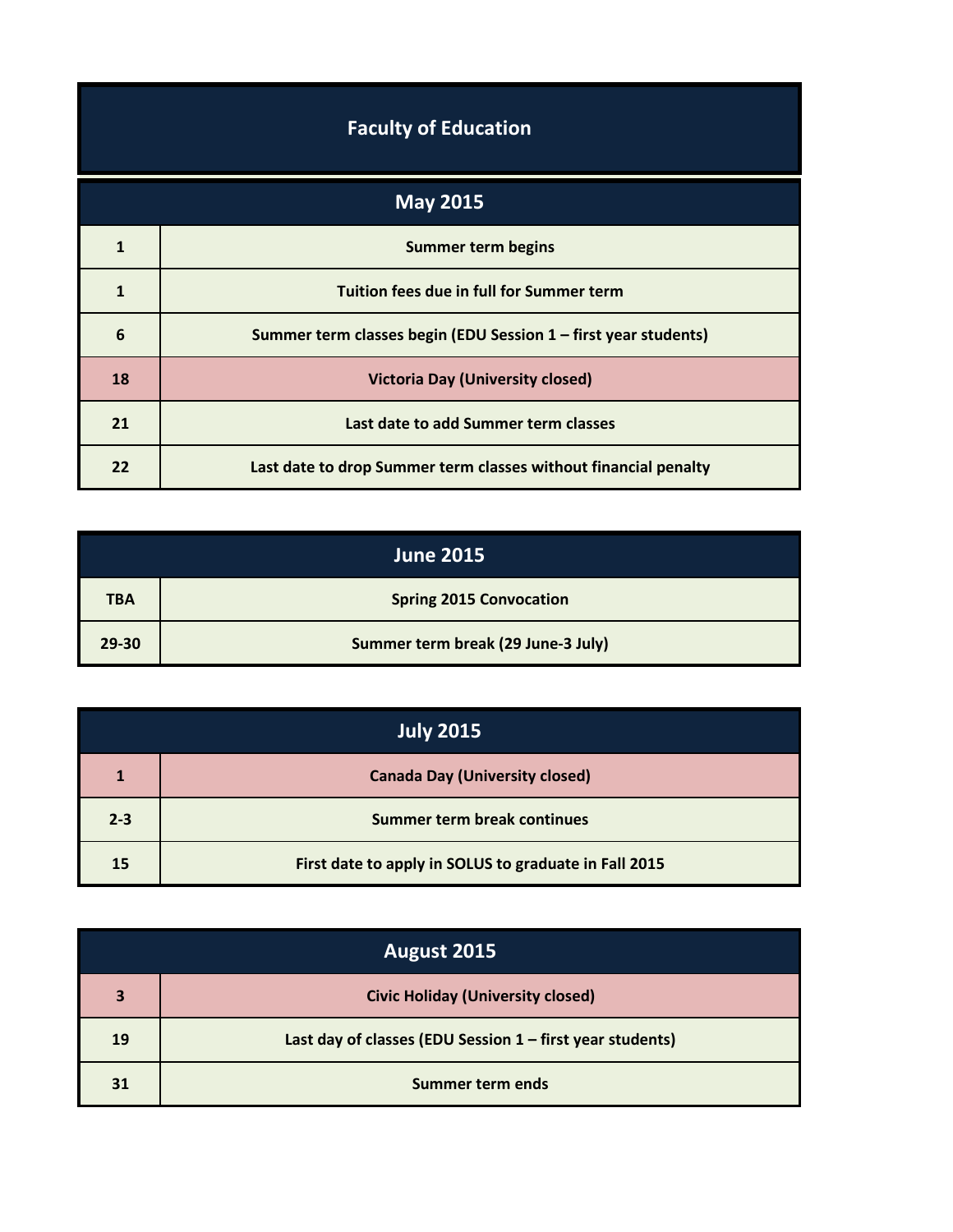| <b>Faculty of Education</b> |  |
|-----------------------------|--|
|-----------------------------|--|

| <b>May 2015</b> |                                                                 |
|-----------------|-----------------------------------------------------------------|
| 1               | <b>Summer term begins</b>                                       |
| $\mathbf{1}$    | Tuition fees due in full for Summer term                        |
| 6               | Summer term classes begin (EDU Session 1 – first year students) |
| 18              | <b>Victoria Day (University closed)</b>                         |
| 21              | Last date to add Summer term classes                            |
| 22              | Last date to drop Summer term classes without financial penalty |

|            | <b>June 2015</b>                   |
|------------|------------------------------------|
| <b>TBA</b> | <b>Spring 2015 Convocation</b>     |
| 29-30      | Summer term break (29 June-3 July) |

| <b>July 2015</b> |                                                       |
|------------------|-------------------------------------------------------|
| 1                | <b>Canada Day (University closed)</b>                 |
| $2 - 3$          | Summer term break continues                           |
| 15               | First date to apply in SOLUS to graduate in Fall 2015 |

| August 2015 |                                                           |
|-------------|-----------------------------------------------------------|
| 3           | <b>Civic Holiday (University closed)</b>                  |
| 19          | Last day of classes (EDU Session 1 - first year students) |
| 31          | Summer term ends                                          |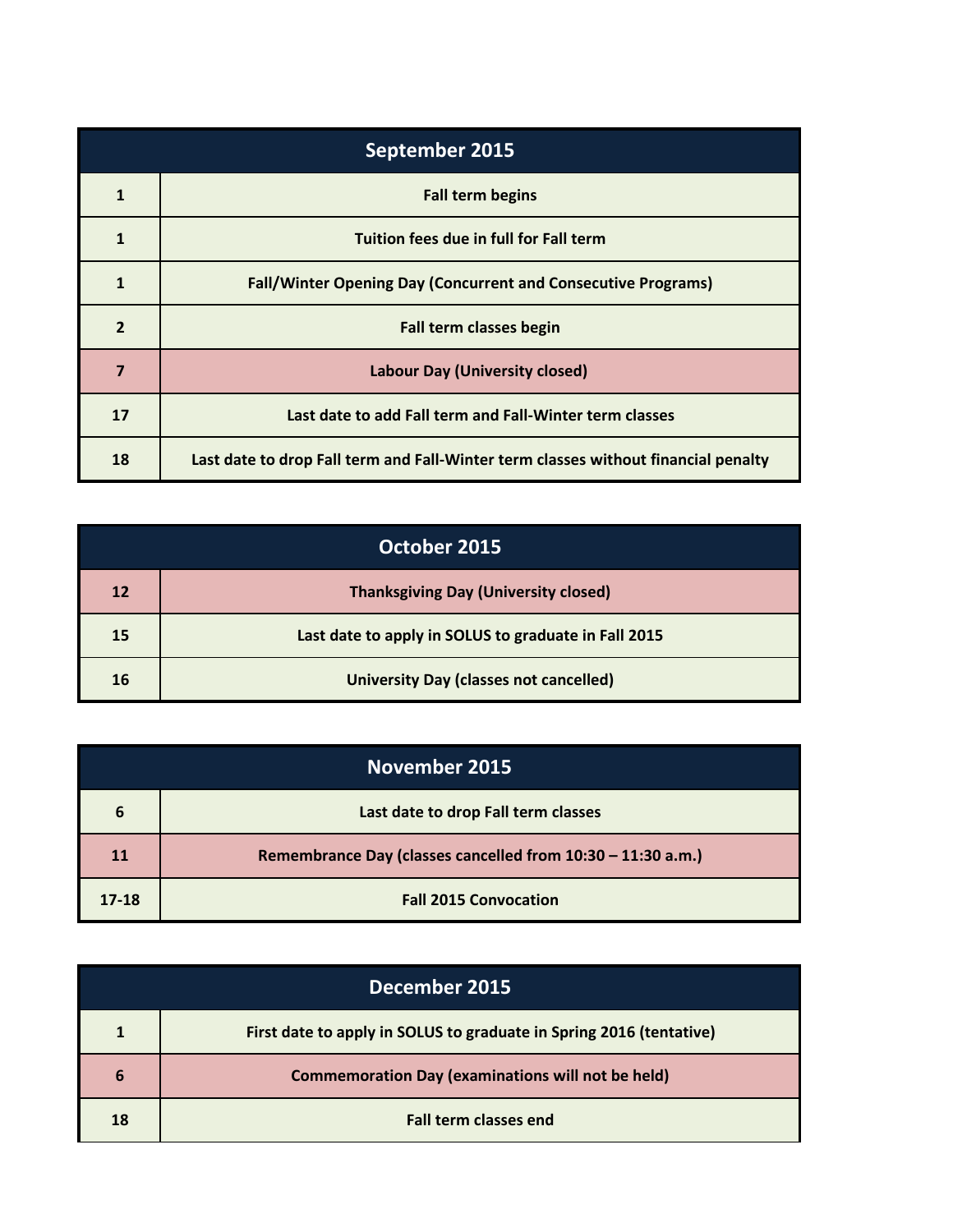| September 2015 |                                                                                    |
|----------------|------------------------------------------------------------------------------------|
| 1              | <b>Fall term begins</b>                                                            |
| 1              | Tuition fees due in full for Fall term                                             |
| 1              | <b>Fall/Winter Opening Day (Concurrent and Consecutive Programs)</b>               |
| $\overline{2}$ | Fall term classes begin                                                            |
| 7              | <b>Labour Day (University closed)</b>                                              |
| 17             | Last date to add Fall term and Fall-Winter term classes                            |
| 18             | Last date to drop Fall term and Fall-Winter term classes without financial penalty |

| October 2015 |                                                      |
|--------------|------------------------------------------------------|
| 12           | <b>Thanksgiving Day (University closed)</b>          |
| 15           | Last date to apply in SOLUS to graduate in Fall 2015 |
| 16           | <b>University Day (classes not cancelled)</b>        |

| <b>November 2015</b> |                                                             |
|----------------------|-------------------------------------------------------------|
| 6                    | Last date to drop Fall term classes                         |
| 11                   | Remembrance Day (classes cancelled from 10:30 - 11:30 a.m.) |
| $17 - 18$            | <b>Fall 2015 Convocation</b>                                |

| December 2015 |                                                                     |
|---------------|---------------------------------------------------------------------|
| 1             | First date to apply in SOLUS to graduate in Spring 2016 (tentative) |
| 6             | <b>Commemoration Day (examinations will not be held)</b>            |
| 18            | <b>Fall term classes end</b>                                        |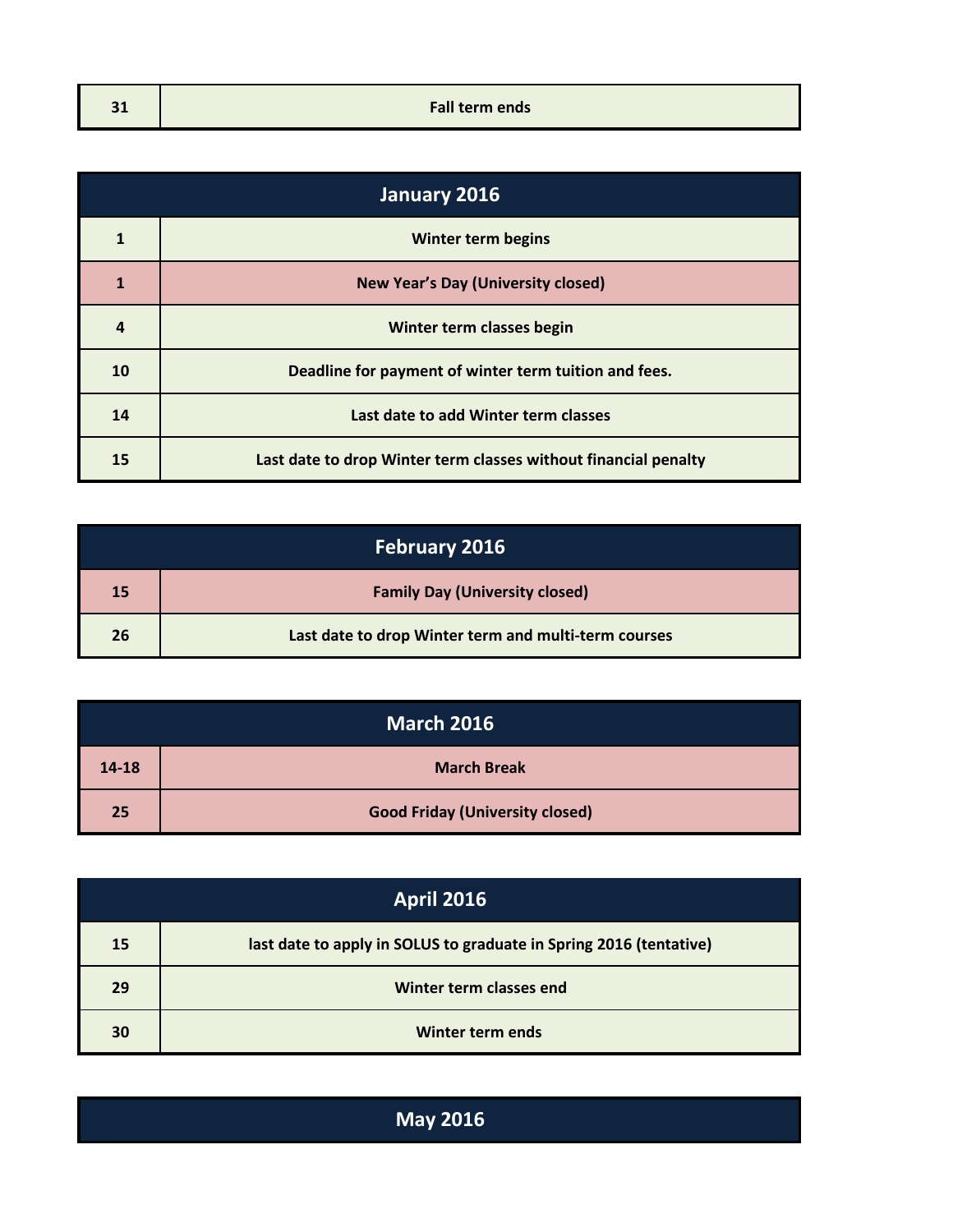| -14  |                       |
|------|-----------------------|
| $-1$ | <b>Fall term ends</b> |
|      |                       |

| January 2016 |                                                                 |
|--------------|-----------------------------------------------------------------|
| 1            | <b>Winter term begins</b>                                       |
| 1            | <b>New Year's Day (University closed)</b>                       |
| 4            | Winter term classes begin                                       |
| 10           | Deadline for payment of winter term tuition and fees.           |
| 14           | Last date to add Winter term classes                            |
| 15           | Last date to drop Winter term classes without financial penalty |

|    | <b>February 2016</b>                                 |
|----|------------------------------------------------------|
| 15 | <b>Family Day (University closed)</b>                |
| 26 | Last date to drop Winter term and multi-term courses |

| <b>March 2016</b> |                                        |  |
|-------------------|----------------------------------------|--|
| 14-18             | <b>March Break</b>                     |  |
| 25                | <b>Good Friday (University closed)</b> |  |

| <b>April 2016</b> |                                                                    |  |
|-------------------|--------------------------------------------------------------------|--|
| 15                | last date to apply in SOLUS to graduate in Spring 2016 (tentative) |  |
| 29                | Winter term classes end                                            |  |
| 30                | Winter term ends                                                   |  |

**May 2016**